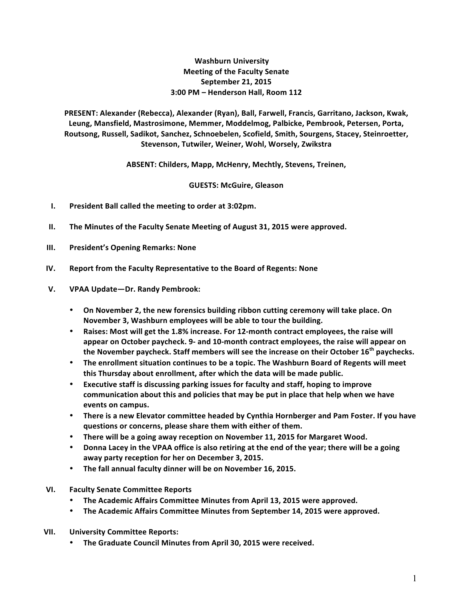## **Washburn University Meeting of the Faculty Senate September 21, 2015 3:00 PM – Henderson Hall, Room 112**

PRESENT: Alexander (Rebecca), Alexander (Ryan), Ball, Farwell, Francis, Garritano, Jackson, Kwak, Leung, Mansfield, Mastrosimone, Memmer, Moddelmog, Palbicke, Pembrook, Petersen, Porta, Routsong, Russell, Sadikot, Sanchez, Schnoebelen, Scofield, Smith, Sourgens, Stacey, Steinroetter, Stevenson, Tutwiler, Weiner, Wohl, Worsely, Zwikstra

ABSENT: Childers, Mapp, McHenry, Mechtly, Stevens, Treinen,

**GUESTS: McGuire, Gleason**

- **I.** President Ball called the meeting to order at 3:02pm.
- **II.** The Minutes of the Faculty Senate Meeting of August 31, 2015 were approved.
- **III. President's Opening Remarks: None**
- **IV. Report from the Faculty Representative to the Board of Regents: None**
- **V. VPAA Update—Dr. Randy Pembrook:**
	- On November 2, the new forensics building ribbon cutting ceremony will take place. On November 3, Washburn employees will be able to tour the building.
	- Raises: Most will get the 1.8% increase. For 12-month contract employees, the raise will appear on October paycheck. 9- and 10-month contract employees, the raise will appear on the November paycheck. Staff members will see the increase on their October 16<sup>th</sup> paychecks.
	- The enrollment situation continues to be a topic. The Washburn Board of Regents will meet this Thursday about enrollment, after which the data will be made public.
	- Executive staff is discussing parking issues for faculty and staff, hoping to improve communication about this and policies that may be put in place that help when we have events on campus.
	- There is a new Elevator committee headed by Cynthia Hornberger and Pam Foster. If you have questions or concerns, please share them with either of them.
	- There will be a going away reception on November 11, 2015 for Margaret Wood.
	- **Donna Lacey in the VPAA office is also retiring at the end of the year; there will be a going** away party reception for her on December 3, 2015.
	- The fall annual faculty dinner will be on November 16, 2015.
- **VI. Faculty Senate Committee Reports**
	- The Academic Affairs Committee Minutes from April 13, 2015 were approved.
	- The Academic Affairs Committee Minutes from September 14, 2015 were approved.
- **VII. University Committee Reports:**
	- The Graduate Council Minutes from April 30, 2015 were received.